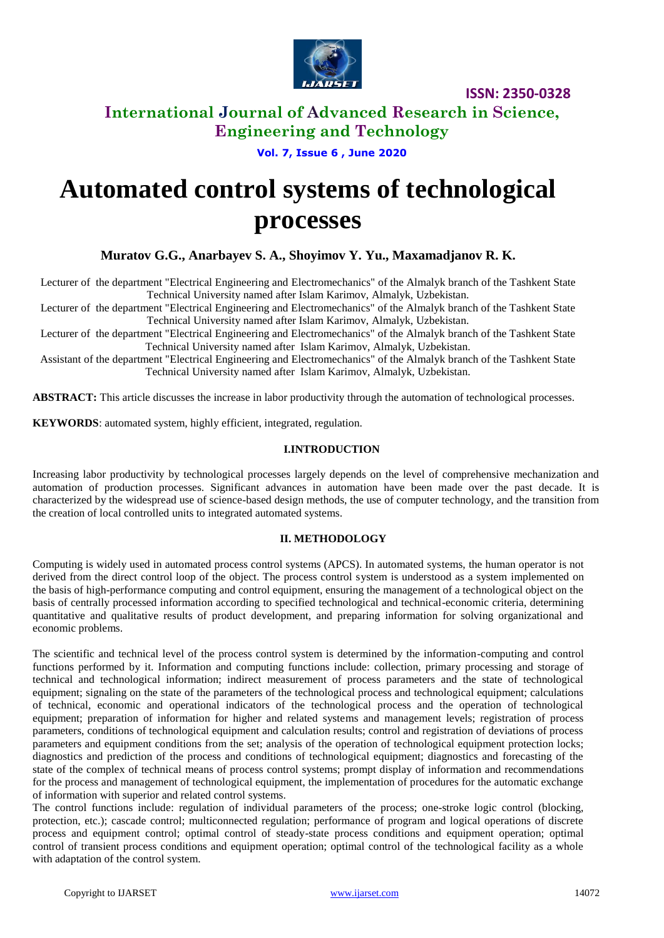

### **International Journal of Advanced Research in Science, Engineering and Technology**

**Vol. 7, Issue 6 , June 2020**

# **Automated control systems of technological processes**

**Muratov G.G., Anarbayev S. A., Shoyimov Y. Yu., Maxamadjanov R. K.**

Lecturer of the department "Electrical Engineering and Electromechanics" of the Almalyk branch of the Tashkent State Technical University named after Islam Karimov, Almalyk, Uzbekistan.

Lecturer of the department "Electrical Engineering and Electromechanics" of the Almalyk branch of the Tashkent State Technical University named after Islam Karimov, Almalyk, Uzbekistan.

Lecturer of the department "Electrical Engineering and Electromechanics" of the Almalyk branch of the Tashkent State Technical University named after Islam Karimov, Almalyk, Uzbekistan.

Assistant of the department "Electrical Engineering and Electromechanics" of the Almalyk branch of the Tashkent State Technical University named after Islam Karimov, Almalyk, Uzbekistan.

**ABSTRACT:** This article discusses the increase in labor productivity through the automation of technological processes.

**KEYWORDS**: automated system, highly efficient, integrated, regulation.

### **I.INTRODUCTION**

Increasing labor productivity by technological processes largely depends on the level of comprehensive mechanization and automation of production processes. Significant advances in automation have been made over the past decade. It is characterized by the widespread use of science-based design methods, the use of computer technology, and the transition from the creation of local controlled units to integrated automated systems.

#### **II. METHODOLOGY**

Computing is widely used in automated process control systems (APCS). In automated systems, the human operator is not derived from the direct control loop of the object. The process control system is understood as a system implemented on the basis of high-performance computing and control equipment, ensuring the management of a technological object on the basis of centrally processed information according to specified technological and technical-economic criteria, determining quantitative and qualitative results of product development, and preparing information for solving organizational and economic problems.

The scientific and technical level of the process control system is determined by the information-computing and control functions performed by it. Information and computing functions include: collection, primary processing and storage of technical and technological information; indirect measurement of process parameters and the state of technological equipment; signaling on the state of the parameters of the technological process and technological equipment; calculations of technical, economic and operational indicators of the technological process and the operation of technological equipment; preparation of information for higher and related systems and management levels; registration of process parameters, conditions of technological equipment and calculation results; control and registration of deviations of process parameters and equipment conditions from the set; analysis of the operation of technological equipment protection locks; diagnostics and prediction of the process and conditions of technological equipment; diagnostics and forecasting of the state of the complex of technical means of process control systems; prompt display of information and recommendations for the process and management of technological equipment, the implementation of procedures for the automatic exchange of information with superior and related control systems.

The control functions include: regulation of individual parameters of the process; one-stroke logic control (blocking, protection, etc.); cascade control; multiconnected regulation; performance of program and logical operations of discrete process and equipment control; optimal control of steady-state process conditions and equipment operation; optimal control of transient process conditions and equipment operation; optimal control of the technological facility as a whole with adaptation of the control system.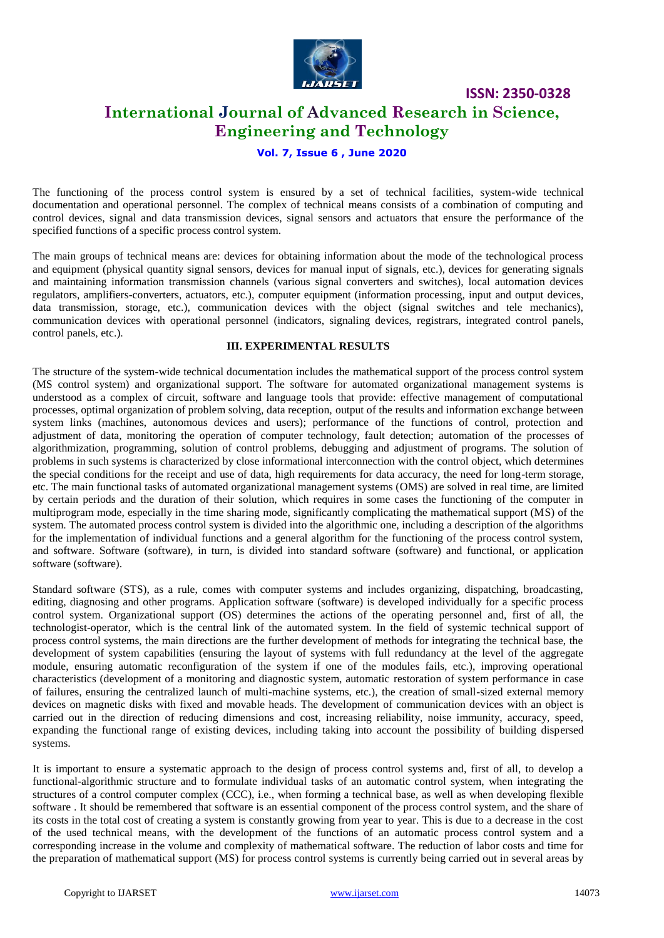

### **International Journal of Advanced Research in Science, Engineering and Technology**

### **Vol. 7, Issue 6 , June 2020**

The functioning of the process control system is ensured by a set of technical facilities, system-wide technical documentation and operational personnel. The complex of technical means consists of a combination of computing and control devices, signal and data transmission devices, signal sensors and actuators that ensure the performance of the specified functions of a specific process control system.

The main groups of technical means are: devices for obtaining information about the mode of the technological process and equipment (physical quantity signal sensors, devices for manual input of signals, etc.), devices for generating signals and maintaining information transmission channels (various signal converters and switches), local automation devices regulators, amplifiers-converters, actuators, etc.), computer equipment (information processing, input and output devices, data transmission, storage, etc.), communication devices with the object (signal switches and tele mechanics), communication devices with operational personnel (indicators, signaling devices, registrars, integrated control panels, control panels, etc.).

### **III. EXPERIMENTAL RESULTS**

The structure of the system-wide technical documentation includes the mathematical support of the process control system (MS control system) and organizational support. The software for automated organizational management systems is understood as a complex of circuit, software and language tools that provide: effective management of computational processes, optimal organization of problem solving, data reception, output of the results and information exchange between system links (machines, autonomous devices and users); performance of the functions of control, protection and adjustment of data, monitoring the operation of computer technology, fault detection; automation of the processes of algorithmization, programming, solution of control problems, debugging and adjustment of programs. The solution of problems in such systems is characterized by close informational interconnection with the control object, which determines the special conditions for the receipt and use of data, high requirements for data accuracy, the need for long-term storage, etc. The main functional tasks of automated organizational management systems (OMS) are solved in real time, are limited by certain periods and the duration of their solution, which requires in some cases the functioning of the computer in multiprogram mode, especially in the time sharing mode, significantly complicating the mathematical support (MS) of the system. The automated process control system is divided into the algorithmic one, including a description of the algorithms for the implementation of individual functions and a general algorithm for the functioning of the process control system, and software. Software (software), in turn, is divided into standard software (software) and functional, or application software (software).

Standard software (STS), as a rule, comes with computer systems and includes organizing, dispatching, broadcasting, editing, diagnosing and other programs. Application software (software) is developed individually for a specific process control system. Organizational support (OS) determines the actions of the operating personnel and, first of all, the technologist-operator, which is the central link of the automated system. In the field of systemic technical support of process control systems, the main directions are the further development of methods for integrating the technical base, the development of system capabilities (ensuring the layout of systems with full redundancy at the level of the aggregate module, ensuring automatic reconfiguration of the system if one of the modules fails, etc.), improving operational characteristics (development of a monitoring and diagnostic system, automatic restoration of system performance in case of failures, ensuring the centralized launch of multi-machine systems, etc.), the creation of small-sized external memory devices on magnetic disks with fixed and movable heads. The development of communication devices with an object is carried out in the direction of reducing dimensions and cost, increasing reliability, noise immunity, accuracy, speed, expanding the functional range of existing devices, including taking into account the possibility of building dispersed systems.

It is important to ensure a systematic approach to the design of process control systems and, first of all, to develop a functional-algorithmic structure and to formulate individual tasks of an automatic control system, when integrating the structures of a control computer complex (CCC), i.e., when forming a technical base, as well as when developing flexible software . It should be remembered that software is an essential component of the process control system, and the share of its costs in the total cost of creating a system is constantly growing from year to year. This is due to a decrease in the cost of the used technical means, with the development of the functions of an automatic process control system and a corresponding increase in the volume and complexity of mathematical software. The reduction of labor costs and time for the preparation of mathematical support (MS) for process control systems is currently being carried out in several areas by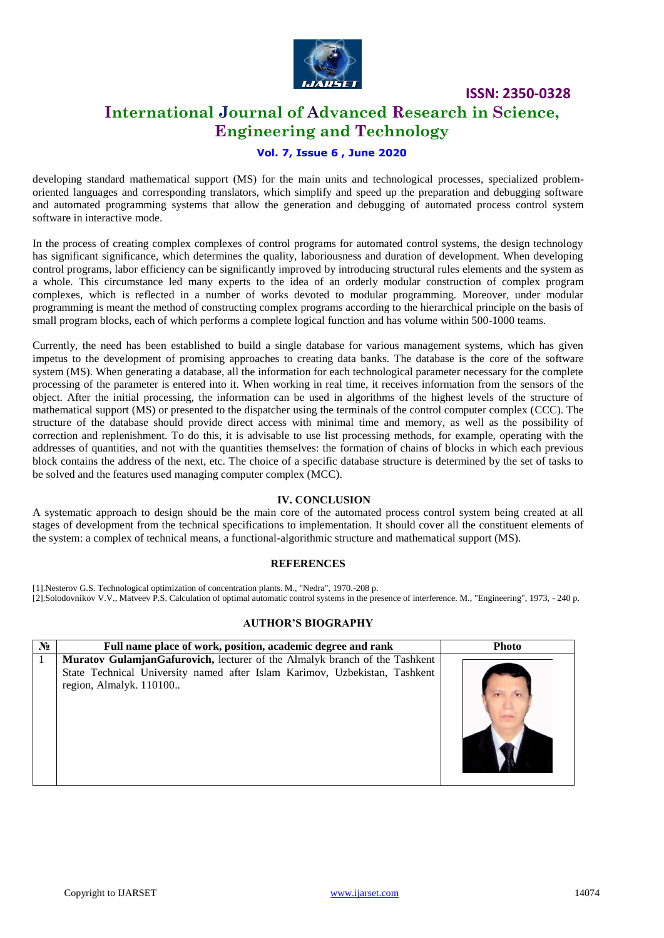

### **International Journal of Advanced Research in Science, Engineering and Technology**

### **Vol. 7, Issue 6 , June 2020**

developing standard mathematical support (MS) for the main units and technological processes, specialized problemoriented languages and corresponding translators, which simplify and speed up the preparation and debugging software and automated programming systems that allow the generation and debugging of automated process control system software in interactive mode.

In the process of creating complex complexes of control programs for automated control systems, the design technology has significant significance, which determines the quality, laboriousness and duration of development. When developing control programs, labor efficiency can be significantly improved by introducing structural rules elements and the system as a whole. This circumstance led many experts to the idea of an orderly modular construction of complex program complexes, which is reflected in a number of works devoted to modular programming. Moreover, under modular programming is meant the method of constructing complex programs according to the hierarchical principle on the basis of small program blocks, each of which performs a complete logical function and has volume within 500-1000 teams.

Currently, the need has been established to build a single database for various management systems, which has given impetus to the development of promising approaches to creating data banks. The database is the core of the software system (MS). When generating a database, all the information for each technological parameter necessary for the complete processing of the parameter is entered into it. When working in real time, it receives information from the sensors of the object. After the initial processing, the information can be used in algorithms of the highest levels of the structure of mathematical support (MS) or presented to the dispatcher using the terminals of the control computer complex (CCC). The structure of the database should provide direct access with minimal time and memory, as well as the possibility of correction and replenishment. To do this, it is advisable to use list processing methods, for example, operating with the addresses of quantities, and not with the quantities themselves: the formation of chains of blocks in which each previous block contains the address of the next, etc. The choice of a specific database structure is determined by the set of tasks to be solved and the features used managing computer complex (MCC).

### **IV. CONCLUSION**

A systematic approach to design should be the main core of the automated process control system being created at all stages of development from the technical specifications to implementation. It should cover all the constituent elements of the system: a complex of technical means, a functional-algorithmic structure and mathematical support (MS).

#### **REFERENCES**

[1].Nesterov G.S. Technological optimization of concentration plants. M., "Nedra", 1970.-208 p.

[2].Solodovnikov V.V., Matveev P.S. Calculation of optimal automatic control systems in the presence of interference. M., "Engineering", 1973, - 240 p.

### **AUTHOR'S BIOGRAPHY**

| $N_2$ | Full name place of work, position, academic degree and rank                                                                                                                         | <b>Photo</b> |
|-------|-------------------------------------------------------------------------------------------------------------------------------------------------------------------------------------|--------------|
|       | Muratov GulamjanGafurovich, lecturer of the Almalyk branch of the Tashkent<br>State Technical University named after Islam Karimov, Uzbekistan, Tashkent<br>region, Almalyk. 110100 |              |